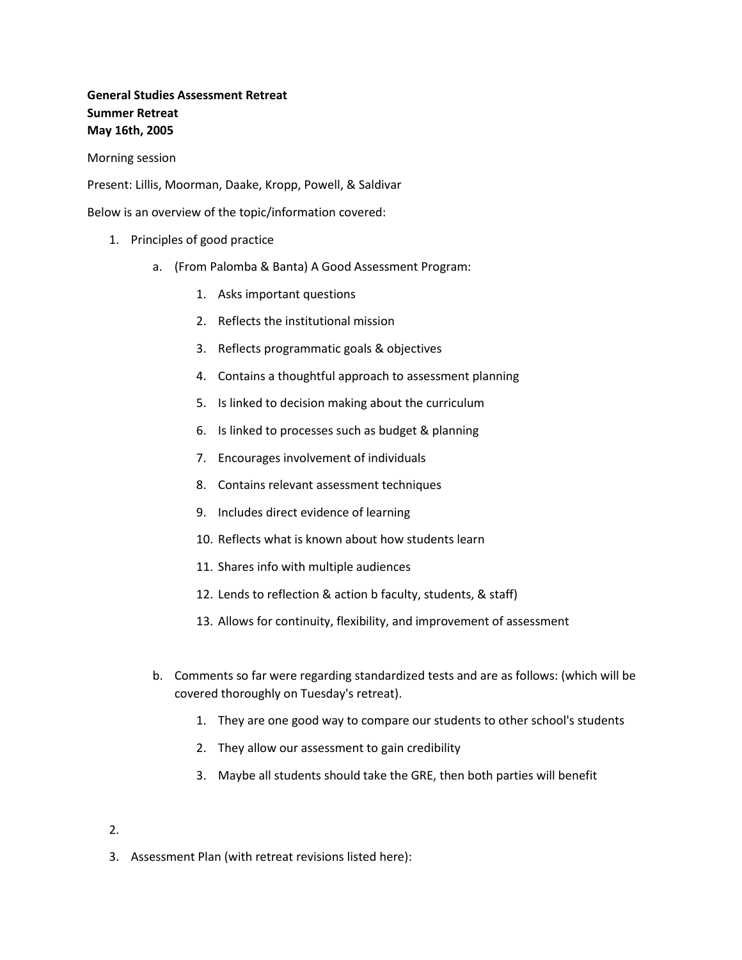# **General Studies Assessment Retreat Summer Retreat May 16th, 2005**

Morning session

Present: Lillis, Moorman, Daake, Kropp, Powell, & Saldivar

Below is an overview of the topic/information covered:

- 1. Principles of good practice
	- a. (From Palomba & Banta) A Good Assessment Program:
		- 1. Asks important questions
		- 2. Reflects the institutional mission
		- 3. Reflects programmatic goals & objectives
		- 4. Contains a thoughtful approach to assessment planning
		- 5. Is linked to decision making about the curriculum
		- 6. Is linked to processes such as budget & planning
		- 7. Encourages involvement of individuals
		- 8. Contains relevant assessment techniques
		- 9. Includes direct evidence of learning
		- 10. Reflects what is known about how students learn
		- 11. Shares info with multiple audiences
		- 12. Lends to reflection & action b faculty, students, & staff)
		- 13. Allows for continuity, flexibility, and improvement of assessment
	- b. Comments so far were regarding standardized tests and are as follows: (which will be covered thoroughly on Tuesday's retreat).
		- 1. They are one good way to compare our students to other school's students
		- 2. They allow our assessment to gain credibility
		- 3. Maybe all students should take the GRE, then both parties will benefit
- 2.
- 3. Assessment Plan (with retreat revisions listed here):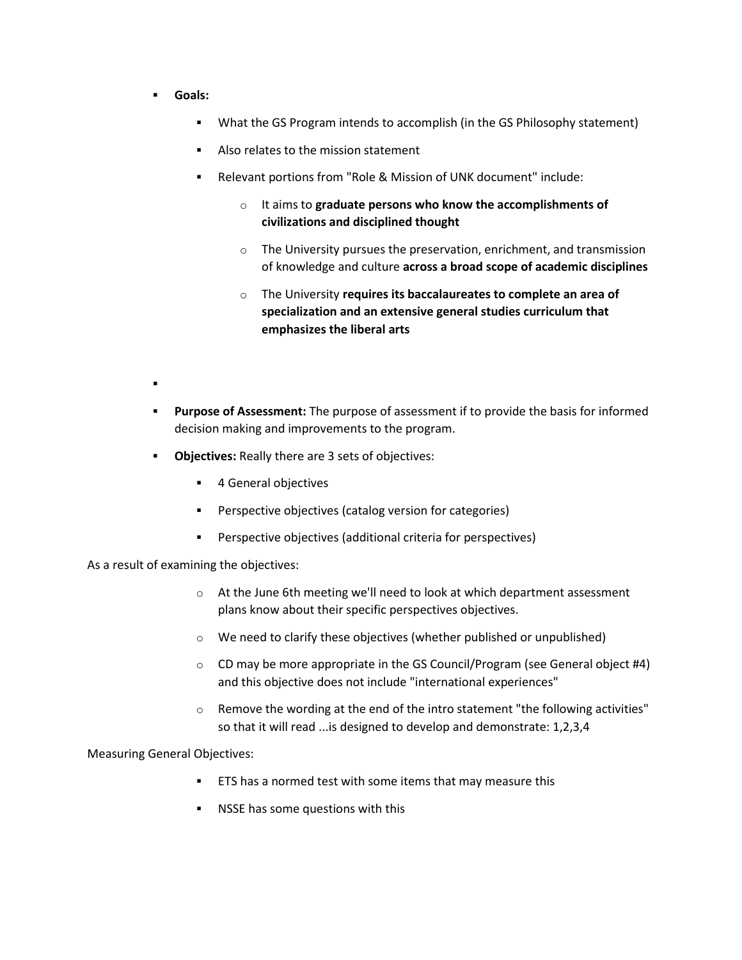- **Goals:**
	- What the GS Program intends to accomplish (in the GS Philosophy statement)
	- Also relates to the mission statement
	- Relevant portions from "Role & Mission of UNK document" include:
		- o It aims to **graduate persons who know the accomplishments of civilizations and disciplined thought**
		- $\circ$  The University pursues the preservation, enrichment, and transmission of knowledge and culture **across a broad scope of academic disciplines**
		- o The University **requires its baccalaureates to complete an area of specialization and an extensive general studies curriculum that emphasizes the liberal arts**
- .
- **Purpose of Assessment:** The purpose of assessment if to provide the basis for informed decision making and improvements to the program.
- **-** Objectives: Really there are 3 sets of objectives:
	- **4 General objectives**
	- Perspective objectives (catalog version for categories)
	- Perspective objectives (additional criteria for perspectives)

As a result of examining the objectives:

- o At the June 6th meeting we'll need to look at which department assessment plans know about their specific perspectives objectives.
- o We need to clarify these objectives (whether published or unpublished)
- $\circ$  CD may be more appropriate in the GS Council/Program (see General object #4) and this objective does not include "international experiences"
- $\circ$  Remove the wording at the end of the intro statement "the following activities" so that it will read ...is designed to develop and demonstrate: 1,2,3,4

Measuring General Objectives:

- ETS has a normed test with some items that may measure this
- NSSE has some questions with this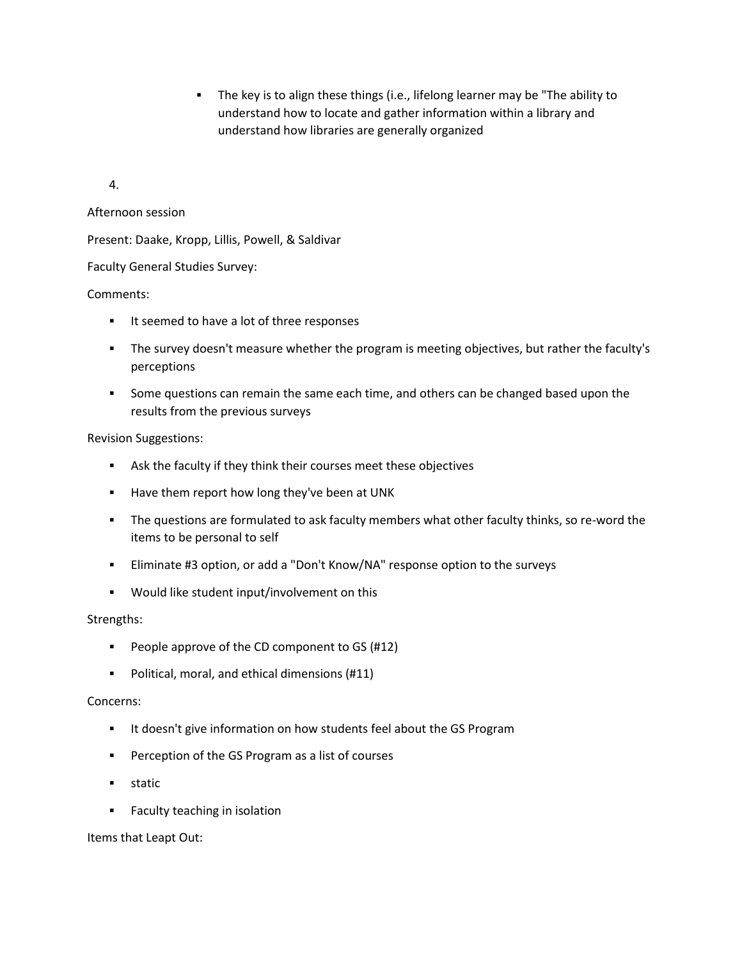The key is to align these things (i.e., lifelong learner may be "The ability to understand how to locate and gather information within a library and understand how libraries are generally organized

4.

## Afternoon session

Present: Daake, Kropp, Lillis, Powell, & Saldivar

Faculty General Studies Survey:

## Comments:

- **If seemed to have a lot of three responses**
- The survey doesn't measure whether the program is meeting objectives, but rather the faculty's perceptions
- **Some questions can remain the same each time, and others can be changed based upon the** results from the previous surveys

## Revision Suggestions:

- Ask the faculty if they think their courses meet these objectives
- **Have them report how long they've been at UNK**
- The questions are formulated to ask faculty members what other faculty thinks, so re-word the items to be personal to self
- Eliminate #3 option, or add a "Don't Know/NA" response option to the surveys
- Would like student input/involvement on this

### Strengths:

- People approve of the CD component to GS (#12)
- Political, moral, and ethical dimensions (#11)

### Concerns:

- **IF** It doesn't give information on how students feel about the GS Program
- Perception of the GS Program as a list of courses
- **static**
- Faculty teaching in isolation

Items that Leapt Out: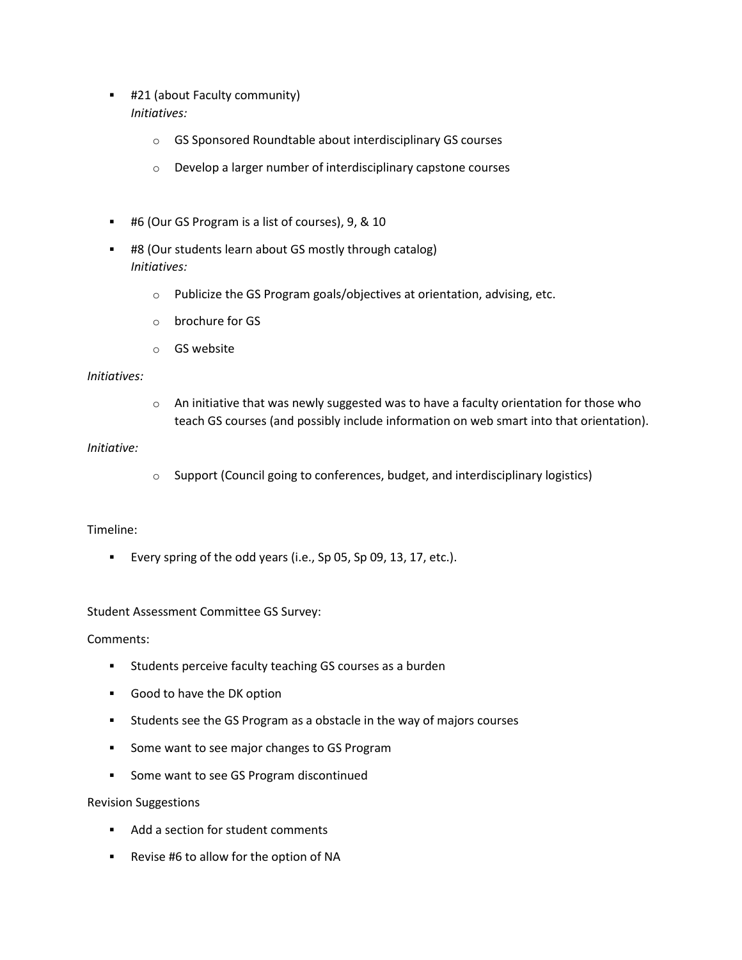- #21 (about Faculty community) *Initiatives:*
	- o GS Sponsored Roundtable about interdisciplinary GS courses
	- o Develop a larger number of interdisciplinary capstone courses
- #6 (Our GS Program is a list of courses), 9, & 10
- #8 (Our students learn about GS mostly through catalog) *Initiatives:*
	- o Publicize the GS Program goals/objectives at orientation, advising, etc.
	- o brochure for GS
	- o GS website

#### *Initiatives:*

 $\circ$  An initiative that was newly suggested was to have a faculty orientation for those who teach GS courses (and possibly include information on web smart into that orientation).

#### *Initiative:*

o Support (Council going to conferences, budget, and interdisciplinary logistics)

### Timeline:

Every spring of the odd years (i.e., Sp 05, Sp 09, 13, 17, etc.).

### Student Assessment Committee GS Survey:

Comments:

- **Students perceive faculty teaching GS courses as a burden**
- Good to have the DK option
- Students see the GS Program as a obstacle in the way of majors courses
- **Some want to see major changes to GS Program**
- **Some want to see GS Program discontinued**

### Revision Suggestions

- Add a section for student comments
- Revise #6 to allow for the option of NA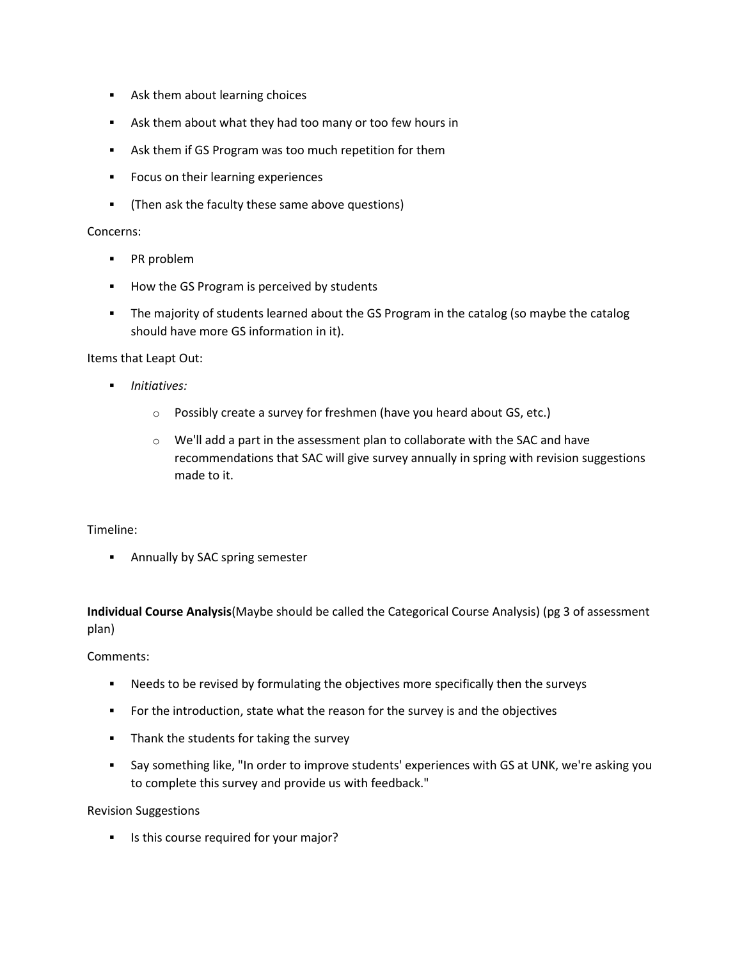- **Ask them about learning choices**
- Ask them about what they had too many or too few hours in
- **Ask them if GS Program was too much repetition for them**
- **FIDU** Focus on their learning experiences
- (Then ask the faculty these same above questions)

#### Concerns:

- **PR** problem
- **How the GS Program is perceived by students**
- The majority of students learned about the GS Program in the catalog (so maybe the catalog should have more GS information in it).

Items that Leapt Out:

- *Initiatives:*
	- o Possibly create a survey for freshmen (have you heard about GS, etc.)
	- o We'll add a part in the assessment plan to collaborate with the SAC and have recommendations that SAC will give survey annually in spring with revision suggestions made to it.

### Timeline:

**Annually by SAC spring semester** 

**Individual Course Analysis**(Maybe should be called the Categorical Course Analysis) (pg 3 of assessment plan)

Comments:

- Needs to be revised by formulating the objectives more specifically then the surveys
- **For the introduction, state what the reason for the survey is and the objectives**
- **Thank the students for taking the survey**
- Say something like, "In order to improve students' experiences with GS at UNK, we're asking you to complete this survey and provide us with feedback."

Revision Suggestions

Is this course required for your major?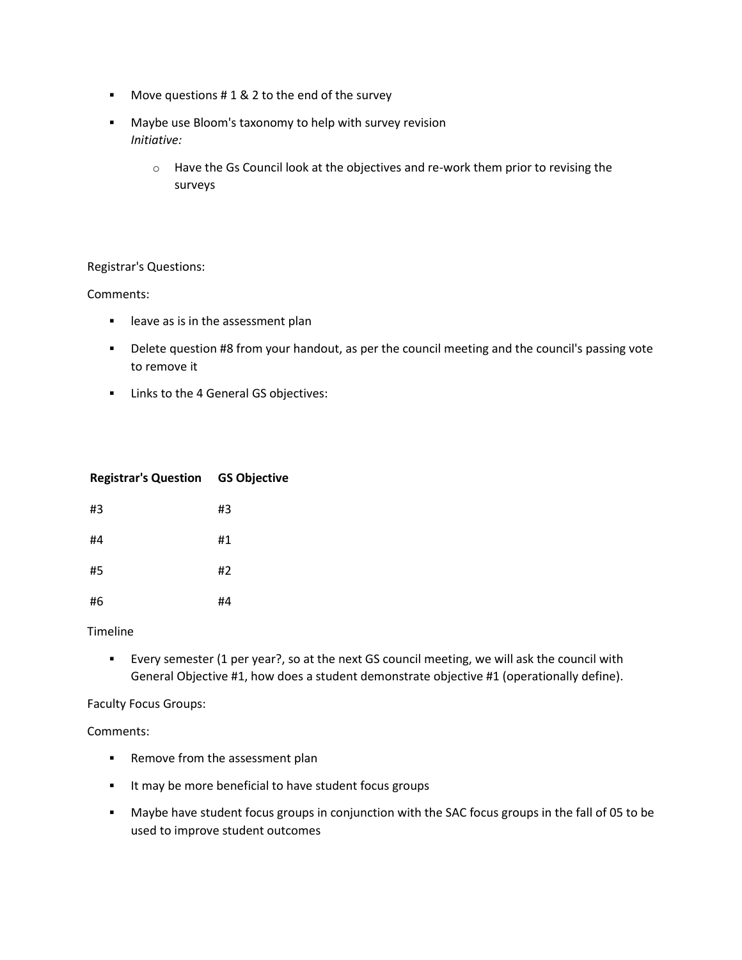- Move questions # 1 & 2 to the end of the survey
- Maybe use Bloom's taxonomy to help with survey revision *Initiative:*
	- o Have the Gs Council look at the objectives and re-work them prior to revising the surveys

## Registrar's Questions:

### Comments:

- **EXEC** leave as is in the assessment plan
- **-** Delete question #8 from your handout, as per the council meeting and the council's passing vote to remove it
- **EXECUTE:** Links to the 4 General GS objectives:

| <b>Registrar's Question GS Objective</b> |    |
|------------------------------------------|----|
| #3                                       | #3 |
| #4                                       | #1 |
| #5                                       | #2 |
| #6                                       | #4 |

### **Timeline**

 Every semester (1 per year?, so at the next GS council meeting, we will ask the council with General Objective #1, how does a student demonstrate objective #1 (operationally define).

Faculty Focus Groups:

### Comments:

- **Remove from the assessment plan**
- **IF May be more beneficial to have student focus groups**
- Maybe have student focus groups in conjunction with the SAC focus groups in the fall of 05 to be used to improve student outcomes